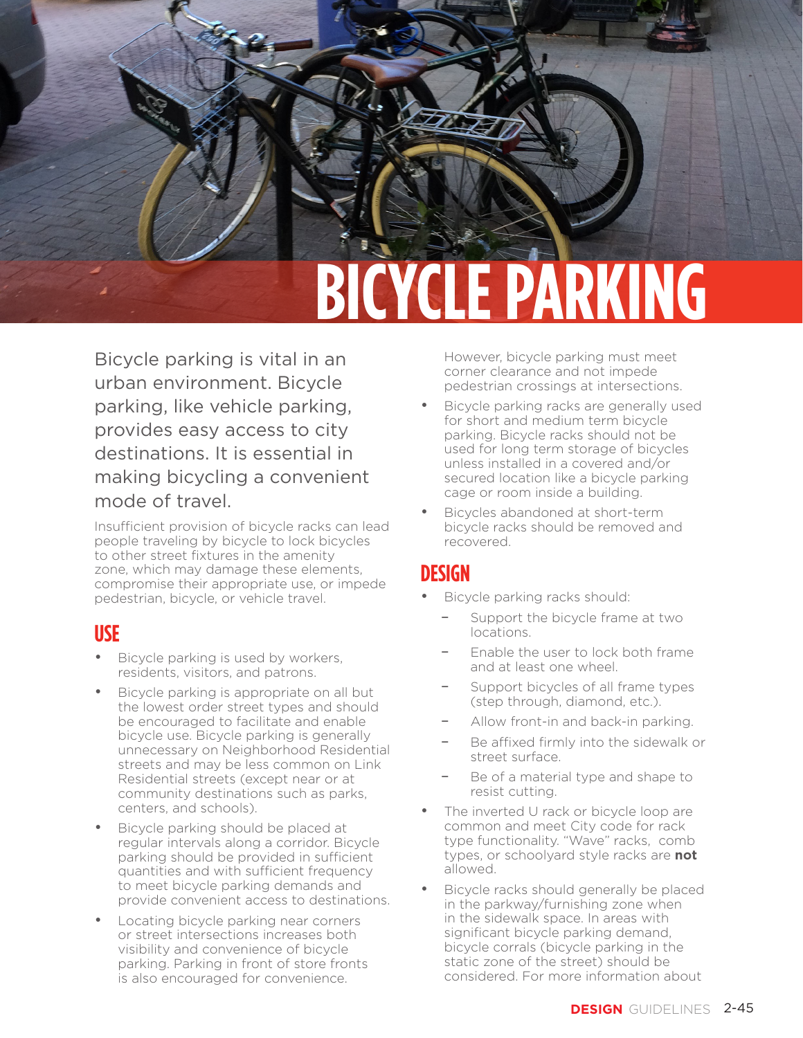# **BICYCLE PARKING**

Bicycle parking is vital in an urban environment. Bicycle parking, like vehicle parking, provides easy access to city destinations. It is essential in making bicycling a convenient mode of travel.

Insufficient provision of bicycle racks can lead people traveling by bicycle to lock bicycles to other street fixtures in the amenity zone, which may damage these elements, compromise their appropriate use, or impede pedestrian, bicycle, or vehicle travel.

### **USE**

- Bicycle parking is used by workers, residents, visitors, and patrons.
- Bicycle parking is appropriate on all but the lowest order street types and should be encouraged to facilitate and enable bicycle use. Bicycle parking is generally unnecessary on Neighborhood Residential streets and may be less common on Link Residential streets (except near or at community destinations such as parks, centers, and schools).
- Bicycle parking should be placed at regular intervals along a corridor. Bicycle parking should be provided in sufficient quantities and with sufficient frequency to meet bicycle parking demands and provide convenient access to destinations.
- Locating bicycle parking near corners or street intersections increases both visibility and convenience of bicycle parking. Parking in front of store fronts is also encouraged for convenience.

However, bicycle parking must meet corner clearance and not impede pedestrian crossings at intersections.

PEDESTRIAN ZONE

- Bicycle parking racks are generally used for short and medium term bicycle parking. Bicycle racks should not be used for long term storage of bicycles unless installed in a covered and/or secured location like a bicycle parking cage or room inside a building.
- Bicycles abandoned at short-term bicycle racks should be removed and recovered.

### **DESIGN**

- Bicycle parking racks should:
	- Support the bicycle frame at two locations.
	- Enable the user to lock both frame and at least one wheel.
	- Support bicycles of all frame types (step through, diamond, etc.).
	- Allow front-in and back-in parking.
	- Be affixed firmly into the sidewalk or street surface.
	- Be of a material type and shape to resist cutting.
- The inverted U rack or bicycle loop are common and meet City code for rack type functionality. "Wave" racks, comb types, or schoolyard style racks are **not** allowed.
- Bicycle racks should generally be placed in the parkway/furnishing zone when in the sidewalk space. In areas with significant bicycle parking demand, bicycle corrals (bicycle parking in the static zone of the street) should be considered. For more information about